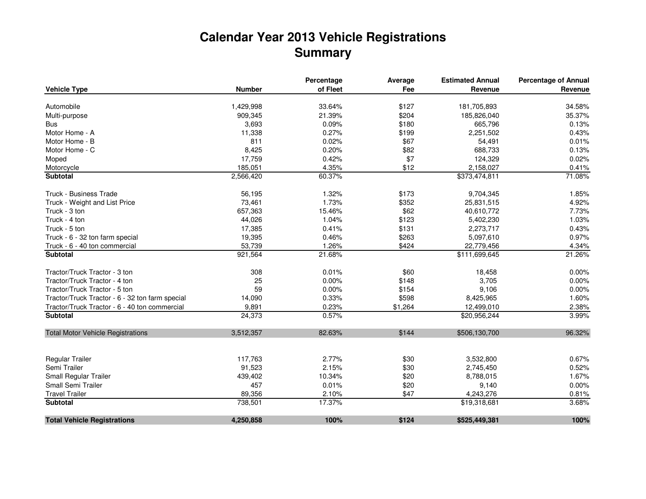## **Calendar Year 2013 Vehicle Registrations Summary**

|                                                 |               | Percentage | Average | <b>Estimated Annual</b> | <b>Percentage of Annual</b> |
|-------------------------------------------------|---------------|------------|---------|-------------------------|-----------------------------|
| <b>Vehicle Type</b>                             | <b>Number</b> | of Fleet   | Fee     | Revenue                 | Revenue                     |
| Automobile                                      | 1,429,998     | 33.64%     | \$127   | 181,705,893             | 34.58%                      |
| Multi-purpose                                   | 909,345       | 21.39%     | \$204   | 185,826,040             | 35.37%                      |
| <b>Bus</b>                                      | 3,693         | 0.09%      | \$180   | 665,796                 | 0.13%                       |
| Motor Home - A                                  | 11,338        | 0.27%      | \$199   | 2,251,502               | 0.43%                       |
| Motor Home - B                                  | 811           | 0.02%      | \$67    | 54,491                  | 0.01%                       |
| Motor Home - C                                  | 8,425         | 0.20%      | \$82    | 688,733                 | 0.13%                       |
| Moped                                           | 17,759        | 0.42%      | \$7     | 124,329                 | 0.02%                       |
| Motorcycle                                      | 185,051       | 4.35%      | \$12    | 2,158,027               | 0.41%                       |
| Subtotal                                        | 2,566,420     | 60.37%     |         | \$373,474,811           | 71.08%                      |
| <b>Truck - Business Trade</b>                   | 56,195        | 1.32%      | \$173   | 9,704,345               | 1.85%                       |
| Truck - Weight and List Price                   | 73,461        | 1.73%      | \$352   | 25,831,515              | 4.92%                       |
| Truck - 3 ton                                   | 657,363       | 15.46%     | \$62    | 40,610,772              | 7.73%                       |
| Truck - 4 ton                                   | 44,026        | 1.04%      | \$123   | 5,402,230               | 1.03%                       |
| Truck - 5 ton                                   | 17,385        | 0.41%      | \$131   | 2,273,717               | 0.43%                       |
| Truck - 6 - 32 ton farm special                 | 19,395        | 0.46%      | \$263   | 5,097,610               | 0.97%                       |
| Truck - 6 - 40 ton commercial                   | 53,739        | 1.26%      | \$424   | 22,779,456              | 4.34%                       |
| <b>Subtotal</b>                                 | 921,564       | 21.68%     |         | \$111,699,645           | 21.26%                      |
| Tractor/Truck Tractor - 3 ton                   | 308           | 0.01%      | \$60    | 18,458                  | 0.00%                       |
| Tractor/Truck Tractor - 4 ton                   | 25            | 0.00%      | \$148   | 3,705                   | 0.00%                       |
| Tractor/Truck Tractor - 5 ton                   | 59            | 0.00%      | \$154   | 9,106                   | 0.00%                       |
| Tractor/Truck Tractor - 6 - 32 ton farm special | 14,090        | 0.33%      | \$598   | 8,425,965               | 1.60%                       |
| Tractor/Truck Tractor - 6 - 40 ton commercial   | 9,891         | 0.23%      | \$1,264 | 12,499,010              | 2.38%                       |
| <b>Subtotal</b>                                 | 24,373        | 0.57%      |         | \$20,956,244            | 3.99%                       |
| <b>Total Motor Vehicle Registrations</b>        | 3,512,357     | 82.63%     | \$144   | \$506,130,700           | 96.32%                      |
| Regular Trailer                                 | 117,763       | 2.77%      | \$30    | 3,532,800               | 0.67%                       |
| Semi Trailer                                    | 91,523        | 2.15%      | \$30    | 2,745,450               | 0.52%                       |
| Small Regular Trailer                           | 439,402       | 10.34%     | \$20    | 8,788,015               | 1.67%                       |
| Small Semi Trailer                              | 457           | 0.01%      | \$20    | 9,140                   | 0.00%                       |
| <b>Travel Trailer</b>                           | 89,356        | 2.10%      | \$47    | 4,243,276               | 0.81%                       |
| <b>Subtotal</b>                                 | 738,501       | 17.37%     |         | \$19,318,681            | 3.68%                       |
| <b>Total Vehicle Registrations</b>              | 4,250,858     | 100%       | \$124   | \$525,449,381           | 100%                        |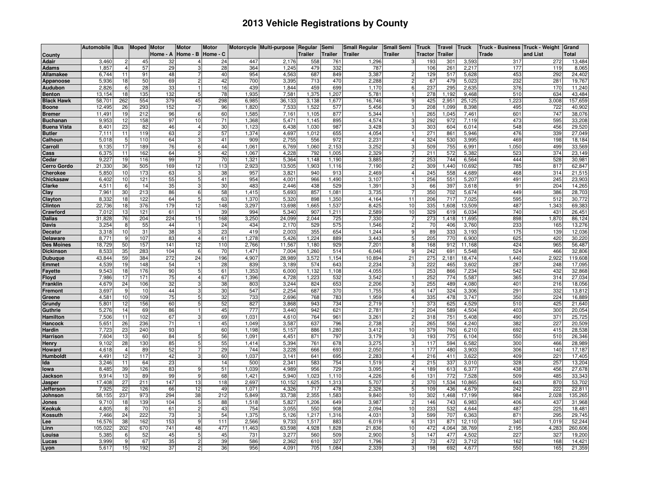## **2013 Vehicle Registrations by County**

|                              | Automobile Bus  |                      | <b>Moped Motor</b> |           | <b>Motor</b>   | <b>Motor</b> |                | Motorcycle Multi-purpose | Regular        | Semi           | <b>Small Regular</b> | <b>Small Semi</b>   | <b>Truck</b> | <b>Travel</b> | <b>Truck</b>    | Truck - Business Truck - Weight |              | Grand             |
|------------------------------|-----------------|----------------------|--------------------|-----------|----------------|--------------|----------------|--------------------------|----------------|----------------|----------------------|---------------------|--------------|---------------|-----------------|---------------------------------|--------------|-------------------|
| County                       |                 |                      |                    | Home - A  | Home - B       | Home - C     |                |                          | Trailer        | Trailer        | Trailer              | <b>Trailer</b>      | Tractor      | Trailer       |                 | Trade                           | and List     | <b>Total</b>      |
| Adair                        | 3,460           |                      | 45                 | 32        |                | 24           | 447            | 2,176                    | 558            | 761            | 1,296                |                     | 193          | 301           | 3,59            | 317                             | 272          | 13,484            |
| <b>Adams</b>                 | 1,857           | $\overline{4}$<br>11 | 57<br>91           | 29<br>48  |                | 28<br>40     | 364<br>954     | 1,245                    | 479            | 332<br>849     | 787                  | -2                  | 106<br>129   | 261           | 2,217           | 177<br>453                      | 119<br>292   | 8,065<br>24,402   |
| Allamakee<br>Appanoose       | 6,744<br>5,936  | 18                   | 50                 | 69        |                | 42           | 700            | 4,563<br>3,395           | 687<br>713     | 470            | 3,387<br>2,288       | $\overline{2}$      | 67           | 517<br>479    | 5,628<br>5,02   | 232                             | 281          | 19,767            |
| Audubon                      | 2,826           | 6                    | 28                 | 33        |                | 16           | 439            | 1,844                    | 459            | 699            | 1,170                | 6                   | 237          | 295           | 2,635           | 376                             | 170          | 11,240            |
| <b>Benton</b>                | 13,154          | 18                   | 135                | 132       |                | 78           | 1,935          | 7,58                     | 1,375          | .207           | 5,781                |                     | 278          | 1,192         | 9,468           | 510                             | 634          | 43,484            |
| <b>Black Hawk</b>            | 58,701          | 262                  | 554                | 379       | 45             | 298          | 6,985          | 36,133                   | 3,138          | 1,677          | 16,746               | -9                  | 425          | 2,951         | 25,125          | 1,223                           | 3,008        | 157,659           |
| <b>Boone</b>                 | 12,495          | 26                   | 293                | 152       | 7              | 96           | 1,820          | 7,533                    | 1,522          | 577            | 5,456                |                     | 208          | 1,099         | 8,398           | 495                             | 722          | 40,902            |
| Bremer                       | 11,491          | 19                   | 212                | 96        | 6              | 60           | 1,585          | 7,161                    | 1,105          | 877            | 5,344                |                     | 265          | 1,045         | 7,461           | 601                             | 747          | 38,076            |
| <b>Buchanan</b>              | 9,953           | 12                   | 158                | 97        | 10             | 71           | 1,368          | 5,471                    | 1,145          | 895            | 4,574                |                     | 292          | 972           | 7,119           | 473                             | 595          | 33,208            |
| <b>Buena Vista</b>           | 8,401           | 23                   | 82                 | 46        |                | 30           | 1,123          | 6,438                    | 1,030          | 987            | 3,428                |                     | 303          | 604           | 6,014           | 548                             | 456          | 29,520            |
| <b>Butler</b>                | 7,111           | 11<br>5              | 119<br>110         | 63<br>64  | 3              | 57<br>41     | 1,374          | 4,697<br>2.755           | 1,012<br>556   | 655<br>972     | 4,054<br>2.231       |                     | 271<br>324   | 861<br>530    | 5,946<br>3.995  | 476<br>469                      | 339<br>198   | 27,049            |
| Calhoun<br>Carroll           | 5,018<br>9,135  | 17                   | 189                | 76        | 6              | 44           | 909<br>1,061   | 6,769                    | 1,060          | 2,153          | 3,252                | -3                  | 509          | 755           | 6,991           | 1,050                           | 499          | 18,184<br>33,569  |
| Cass                         | 6,375           | 11                   | 162                | 64        | 5              | 42           | 1,067          | 4,228                    | 792            | 1,005          | 2,329                |                     | 211          | 572           | 5,382           | 523                             | 374          | 23,149            |
| Cedar                        | 9,227           | 19                   | 116                | 99        | 7              | 70           | 1,321          | 5,364                    | 1,148          | 1,190          | 3,885                |                     | 253          | 744           | 6,564           | 444                             | 528          | 30,981            |
| <b>Cerro Gordo</b>           | 21,330          | 36                   | 505                | 169       | 12             | 113          | 2,923          | 13,505                   | 1,903          | 1,116          | 7,190                | 2                   | 309          | 1.440         | 10.692          | 785                             | 817          | 62,847            |
| Cherokee                     | 5,850           | 10                   | 173                | 63        | 3              | 38           | 957            | 3,821                    | 940            | 913            | 2,469                |                     | 245          | 558           | 4,689           | 468                             | 314          | 21,515            |
| Chickasaw                    | 6,402           | 10                   | 121                | 55        | 5              | 41           | 954            | 4,001                    | 966            | .490           | 3,107                |                     | 256          | 551           | 5,207           | 491                             | 245          | 23,903            |
| Clarke                       | 4,511           | 6                    | 14                 | 35        |                | 30           | 483            | 2.446                    | 438            | 529            | 1,391                |                     | 66           | 397           | 3,618           | 91                              | 204          | 14,265            |
| Clay                         | 7,961           | 30                   | 213                | 86        | 6              | 58           | 1,415          | 5,693                    | 857            | 1,081          | 3,735                |                     | 350          | 702           | 5,674           | 449                             | 386          | 28,703            |
| Clayton<br><b>Clinton</b>    | 8,332<br>22,736 | 18<br>18             | 122<br>376         | 64<br>179 | 5<br>12        | 63<br>148    | 1,370<br>3,297 | 5,320<br>13,698          | 898<br>1,665   | 1,350<br>1,537 | 4.164<br>8,425       | 11<br>10            | 206<br>335   | 717<br>1,608  | 7.025<br>13,509 | 595<br>487                      | 512<br>1,343 | 30,772<br>69,383  |
| Crawford                     | 7,012           | 13                   | 121                | 61        |                | 39           | 994            | 5,340                    | 907            | 1,211          | 2,589                | 10                  | 329          | 619           | 6,034           | 740                             | 431          | 26,451            |
| <b>Dallas</b>                | 31,828          | 76                   | 204                | 224       | 15             | 168          | 3,250          | 24,099                   | 2,044          | 725            | 7,330                |                     | 273          | 1,418         | 11,695          | 898                             | ,870         | 86,124            |
| Davis                        | 3,254           | 8                    | 55                 | 44        |                | 24           | 434            | 2,170                    | 529            | 575            | 1,546                | -2                  | 70           | 406           | 3,760           | 233                             | 165          | 13,276            |
| <b>Decatur</b>               | 3,318           | 10                   | 31                 | 38        | 3              | 23           | 419            | 2.003                    | 355            | 654            | 1.244                | 9                   | 89           | 333           | 3.193           | 175                             | 139          | 12,036            |
| <b>Delaware</b>              | 8,771           | 9                    | 107                | 83        | 4              | 61           | 1,278          | 5,426                    | 1,224          | 889            | 3,443                | 5                   | 205          | 770           | 6,900           | 625                             | 420          | 30,220            |
| <b>Des Moines</b>            | 18,729          | 50                   | 157                | 141       | 12             | 110          | 2,766          | 11,567                   | 1,180          | 929            | 7,201                | 8                   | 168          | 912           | 11,168          | 424                             | 965          | 56,487            |
| <b>Dickinson</b>             | 8,533           | 35                   | 283                | 104       | 6              | 70           | 1.471          | 7,004                    | 1,260          | 514            | 6.046                | 9                   | 242          | 691           | 5,548           | 524                             | 466          | 32,806            |
| <b>Dubuque</b>               | 43,844<br>4,539 | 59<br>19             | 384<br>148         | 272<br>54 | 24             | 196<br>28    | 4,907<br>839   | 28,989<br>3,189          | 3,572<br>574   | 1,154<br>643   | 10,894<br>2,234      | 21<br>3             | 275<br>222   | 2,181         | 18,474<br>3,602 | 1,440<br>287                    | 2,922<br>248 | 119,608<br>17,095 |
| Emmet<br><sup>:</sup> ayette | 9,543           | 18                   | 176                | 90        | 5              | 61           | 1,353          | 6,000                    | 1,132          | ,108           | 4,055                |                     | 253          | 465<br>866    | 7,234           | 542                             | 432          | 32,868            |
| iloyd                        | 7,986           | 17                   | 171                | 75        |                | 67           | 1,396          | 4,728                    | 1,223          | 532            | 3,542                |                     | 252          | 774           | 5,587           | 365                             | 314          | 27,034            |
| <b>Franklin</b>              | 4,679           | 24                   | 106                | 32        |                | 38           | 803            | 3,244                    | 824            | 653            | 2,206                |                     | 255          | 489           | 4,080           | 401                             | 216          | 18,056            |
| Fremont                      | 3,697           | 9                    | 10                 | 44        | 3              | 30           | 547            | 2,254                    | 687            | 370            | 1,755                | 6                   | 147          | 324           | 3,306           | 291                             | 332          | 13,812            |
| Greene                       | 4,581           | 10                   | 109                | 75        |                | 32           | 733            | 2,696                    | 768            | 783            | 1,959                |                     | 335          | 478           | 3,747           | 350                             | 224          | 16,889            |
| Grundy                       | 5,801           | 12                   | 156                | 60        |                | 52           | 827            | 3,868                    | 943            | 734            | 2,719                |                     | 373          | 625           | 4,529           | 510                             | 425          | 21,640            |
| Guthrie                      | 5,276           | 14                   | 69                 | 86        |                | 45           | 777            | 3,440                    | 942            | 621            | 2,781                |                     | 204          | 589           | 4,504           | 403                             | 300          | 20,054            |
| <b>Hamilton</b><br>Hancock   | 7,506<br>5,651  | 11<br>26             | 102<br>236         | 67<br>71  |                | 69<br>45     | 1.031<br>1,049 | 4,610<br>3,587           | 764<br>637     | 961<br>796     | 3,261<br>2,738       | $\overline{2}$      | 318<br>265   | 751<br>556    | 5.408<br>4,240  | 490<br>382                      | 371<br>227   | 25,725<br>20,509  |
| Hardin                       | 7,723           | 23                   | 240                | 93        |                | 60           | 1,198          | 5,157                    | 886            | ,280           | 3,412                | 10                  | 379          | 760           | 6,210           | 692                             | 415          | 28,538            |
| Harrison                     | 7,604           | 13                   | 60                 | 84        |                | 56           | 1,091          | 4,451                    | 871            | 797            | 3,179                |                     | 193          | 775           | 6,104           | 550                             | 510          | 26,346            |
| Henry                        | 9,102           | 28                   | 130                | 85        | 5              | 55           | 1,414          | 5,394                    | 761            | 678            | 3,275                |                     | 117          | 594           | 6,582           | 300                             | 466          | 28,989            |
| Howard                       | 4,618           | $\overline{4}$       | 89                 | 52        |                | 29           | 744            | 3,228                    | 666            | 693            | 2,050                |                     | 177          | 480           | 3,903           | 306                             | 140          | 17,187            |
| Humboldt                     | 4,491           | 12                   | 117                | 42        | з              | 60           | 1,037          | 3,141                    | 641            | 695            | 2,283                |                     | 216          | 411           | 3,622           | 409                             | 221          | 17,405            |
| lda                          | 3,246           | 11                   | 64                 | 23        |                | 14           | 500            | 2,341                    | 583            | 754            | 1,519                |                     | 215          | 337           | 3.01C           | 328                             | 257          | 13,204            |
| lowa                         | 8,485           | 39                   | 126                | 83        | 9              | 51           | 1,039          | 4,989                    | 956            | 729            | 3,095                | $\overline{4}$      | 189          | 613           | 6,377           | 438                             | 456          | 27,678            |
| Jackson                      | 9,914<br>17.408 | 13<br>27             | 89<br>211          | 99<br>147 | 9<br>13        | 68<br>118    | 1,421<br>2.697 | 5,940<br>10.152          | 1,023<br>1,625 | 1,110<br>1,313 | 4,226<br>5,707       | 6<br>$\overline{2}$ | 131<br>370   | 772<br>1,534  | 7,528<br>10.865 | 509<br>643                      | 485<br>870   | 33,343<br>53,702  |
| Jasper<br>Jefferson          | 7,925           | 22                   | 126                | 66        | 12             | 49           | 1,071          | 4,326                    | 717            | 478            | 2,326                | -5                  | 109          | 436           | 4,679           | 242                             | 222          | 22,81             |
| Johnson                      | 58,155          | 237                  | 973                | 294       | 38             | 212          | 5,849          | 33,738                   | 2,355          | .583           | 9,840                | 10                  | 302          | 1,468         | 17,199          | 984                             | 2,028        | 135,265           |
| Jones                        | 9,710           | 18                   | 139                | 104       | 5              | 88           | 1,518          | 5,827                    | 1,206          | 649            | 3,987                | $\overline{c}$      | 146          | 743           | 6,983           | 406                             | 437          | 31,968            |
| Keokuk                       | 4,805           | 8                    | 70                 | 61        | $\overline{2}$ | 43           | 754            | 3,055                    | 550            | 908            | 2,094                | 10                  | 233          | 532           | 4,644           | 487                             | 225          | 18,481            |
| <b>Cossuth</b>               | 7,466           | 24                   | 222                | 73        | 3              | 54           | 1,375          | 5,126                    | 1,217          | 1,316          | 4,031                | 3                   | 599          | 707           | 6,363           | 871                             | 295          | 29,745            |
| ee                           | 16,576          | 38                   | 162                | 153       | 9              | 111          | 2,566          | 9,733                    | 1,517          | 883            | 6,019                | 6                   | 131          | 871           | 12,110          | 340                             | 1,019        | 52,244            |
| .inn                         | 105,022         | 202                  | 670                | 741       | 48             | 477          | 11,463         | 63,598                   | 4,928          | ,828           | 21,836               | 10                  | 472          | 4,064         | 38,769          | 2,195                           | 4,283        | 260,606           |
| ouisa                        | 5,385           | 6                    | 52                 | 45        | 5              | 45           | 731            | 3,277                    | 560            | 509            | 2,900                | 5                   | 147          | 477           | 4,502           | 227                             | 327          | 19,200            |
| <b>ucas</b>                  | 3,999           | 9                    | 67                 | 35        | $\overline{c}$ | 39           | 586            | 2,362                    | 610            | 327            | 1,796                | -2                  | 73           | 472           | 3,712           | 162                             | 168          | 14,421            |
| .yon                         | 5,617           | 15                   | 192                | 37        |                | 36           | 956            | 4,091                    | 705            | 1,084          | 2,339                | 3                   | 198          | 692           | 4,677           | 550                             | 165          | 21,359            |